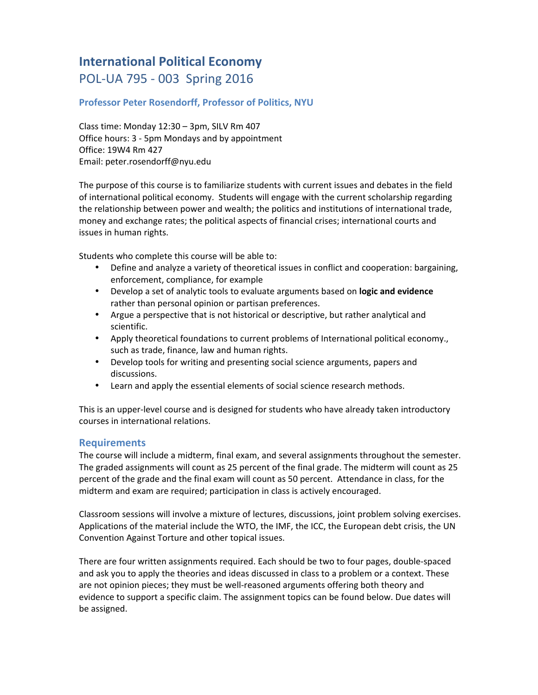# **International Political Economy** POL-UA 795 - 003 Spring 2016

# **Professor Peter Rosendorff, Professor of Politics, NYU**

Class time: Monday  $12:30 - 3$ pm, SILV Rm 407 Office hours: 3 - 5pm Mondays and by appointment Office: 19W4 Rm 427 Email: peter.rosendorff@nyu.edu

The purpose of this course is to familiarize students with current issues and debates in the field of international political economy. Students will engage with the current scholarship regarding the relationship between power and wealth; the politics and institutions of international trade, money and exchange rates; the political aspects of financial crises; international courts and issues in human rights.

Students who complete this course will be able to:

- Define and analyze a variety of theoretical issues in conflict and cooperation: bargaining, enforcement, compliance, for example
- Develop a set of analytic tools to evaluate arguments based on **logic and evidence** rather than personal opinion or partisan preferences.
- Argue a perspective that is not historical or descriptive, but rather analytical and scientific.
- Apply theoretical foundations to current problems of International political economy., such as trade, finance, law and human rights.
- Develop tools for writing and presenting social science arguments, papers and discussions.
- Learn and apply the essential elements of social science research methods.

This is an upper-level course and is designed for students who have already taken introductory courses in international relations.

# **Requirements**

The course will include a midterm, final exam, and several assignments throughout the semester. The graded assignments will count as 25 percent of the final grade. The midterm will count as 25 percent of the grade and the final exam will count as 50 percent. Attendance in class, for the midterm and exam are required; participation in class is actively encouraged.

Classroom sessions will involve a mixture of lectures, discussions, joint problem solving exercises. Applications of the material include the WTO, the IMF, the ICC, the European debt crisis, the UN Convention Against Torture and other topical issues.

There are four written assignments required. Each should be two to four pages, double-spaced and ask you to apply the theories and ideas discussed in class to a problem or a context. These are not opinion pieces; they must be well-reasoned arguments offering both theory and evidence to support a specific claim. The assignment topics can be found below. Due dates will be assigned.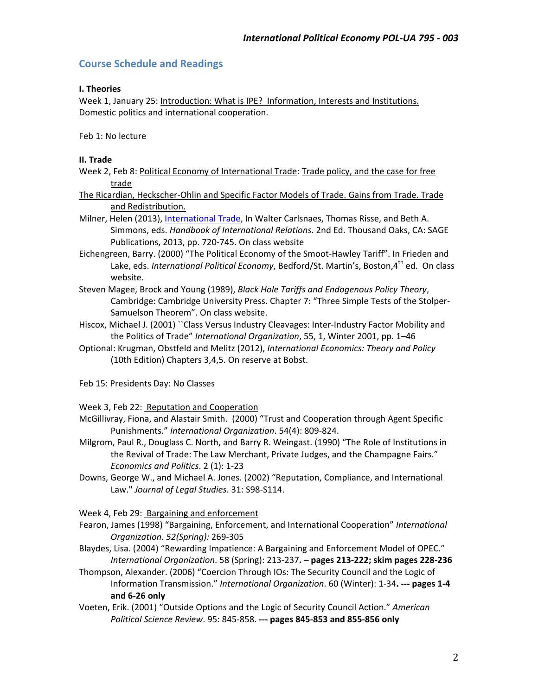# **Course Schedule and Readings**

### **I. Theories**

Week 1, January 25: Introduction: What is IPE? Information, Interests and Institutions. Domestic politics and international cooperation.

Feb 1: No lecture

### **II. Trade**

- Week 2, Feb 8: Political Economy of International Trade: Trade policy, and the case for free trade
- The Ricardian, Heckscher-Ohlin and Specific Factor Models of Trade. Gains from Trade. Trade and Redistribution.
- Milner, Helen (2013), International Trade, In Walter Carlsnaes, Thomas Risse, and Beth A. Simmons, eds. *Handbook of International Relations*. 2nd Ed. Thousand Oaks, CA: SAGE Publications, 2013, pp. 720-745. On class website
- Eichengreen, Barry. (2000) "The Political Economy of the Smoot-Hawley Tariff". In Frieden and Lake, eds. *International Political Economy*, Bedford/St. Martin's, Boston,4<sup>th</sup> ed. On class website.
- Steven Magee, Brock and Young (1989), *Black Hole Tariffs and Endogenous Policy Theory*, Cambridge: Cambridge University Press. Chapter 7: "Three Simple Tests of the Stolper-Samuelson Theorem". On class website.
- Hiscox, Michael J. (2001) "Class Versus Industry Cleavages: Inter-Industry Factor Mobility and the Politics of Trade" *International Organization*, 55, 1, Winter 2001, pp. 1-46
- Optional: Krugman, Obstfeld and Melitz (2012), *International Economics: Theory and Policy* (10th Edition) Chapters 3,4,5. On reserve at Bobst.

Feb 15: Presidents Day: No Classes

Week 3, Feb 22: Reputation and Cooperation

- McGillivray, Fiona, and Alastair Smith. (2000) "Trust and Cooperation through Agent Specific Punishments." *International Organization*. 54(4): 809-824.
- Milgrom, Paul R., Douglass C. North, and Barry R. Weingast. (1990) "The Role of Institutions in the Revival of Trade: The Law Merchant, Private Judges, and the Champagne Fairs." *Economics and Politics*. 2 (1): 1-23
- Downs, George W., and Michael A. Jones. (2002) "Reputation, Compliance, and International Law." Journal of Legal Studies. 31: S98-S114.

Week 4, Feb 29: Bargaining and enforcement

- Fearon, James (1998) "Bargaining, Enforcement, and International Cooperation" International *Organization. 52(Spring):* 269-305
- Blaydes, Lisa. (2004) "Rewarding Impatience: A Bargaining and Enforcement Model of OPEC." *International Organization*. 58 (Spring): 213-237**. – pages 213-222; skim pages 228-236**
- Thompson, Alexander. (2006) "Coercion Through IOs: The Security Council and the Logic of Information Transmission." International Organization. 60 (Winter): 1-34. --- pages 1-4 **and 6-26 only**
- Voeten, Erik. (2001) "Outside Options and the Logic of Security Council Action." American *Political Science Review*. 95: 845-858. **--- pages 845-853 and 855-856 only**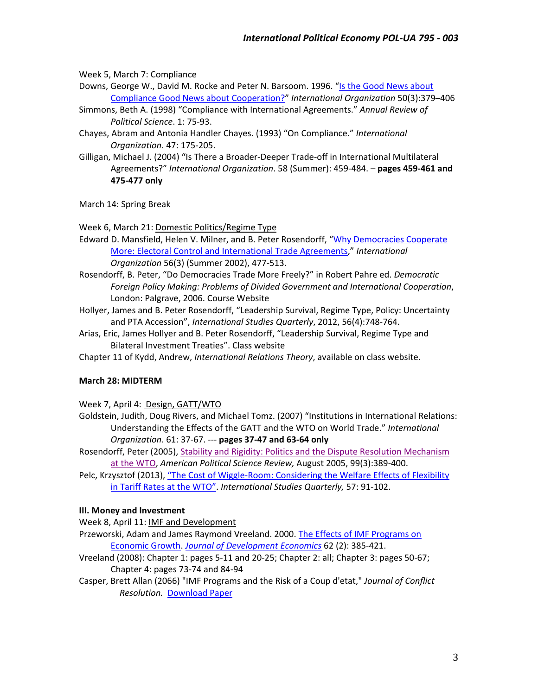Week 5, March 7: Compliance

Downs, George W., David M. Rocke and Peter N. Barsoom. 1996. "Is the Good News about Compliance Good News about Cooperation?" *International Organization* 50(3):379–406

- Simmons, Beth A. (1998) "Compliance with International Agreements." Annual Review of *Political Science*. 1: 75-93.
- Chayes, Abram and Antonia Handler Chayes. (1993) "On Compliance." International *Organization*. 47: 175-205.
- Gilligan, Michael J. (2004) "Is There a Broader-Deeper Trade-off in International Multilateral Agreements?" International Organization. 58 (Summer): 459-484. - pages 459-461 and **475-477 only**

March 14: Spring Break

Week 6, March 21: Domestic Politics/Regime Type

- Edward D. Mansfield, Helen V. Milner, and B. Peter Rosendorff, "Why Democracies Cooperate More: Electoral Control and International Trade Agreements," International *Organization* 56(3) (Summer 2002), 477-513.
- Rosendorff, B. Peter, "Do Democracies Trade More Freely?" in Robert Pahre ed. *Democratic* Foreign Policy Making: Problems of Divided Government and International Cooperation, London: Palgrave, 2006. Course Website
- Hollyer, James and B. Peter Rosendorff, "Leadership Survival, Regime Type, Policy: Uncertainty and PTA Accession", International Studies Quarterly, 2012, 56(4):748-764.
- Arias, Eric, James Hollyer and B. Peter Rosendorff, "Leadership Survival, Regime Type and Bilateral Investment Treaties". Class website

Chapter 11 of Kydd, Andrew, *International Relations Theory*, available on class website.

#### **March 28: MIDTERM**

Week 7, April 4: Design, GATT/WTO

- Goldstein, Judith, Doug Rivers, and Michael Tomz. (2007) "Institutions in International Relations: Understanding the Effects of the GATT and the WTO on World Trade." International *Organization*. 61: 37-67. --- **pages 37-47 and 63-64 only**
- Rosendorff, Peter (2005), Stability and Rigidity: Politics and the Dispute Resolution Mechanism at the WTO, American Political Science Review, August 2005, 99(3):389-400.
- Pelc, Krzysztof (2013), "The Cost of Wiggle-Room: Considering the Welfare Effects of Flexibility in Tariff Rates at the WTO". International Studies Quarterly, 57: 91-102.

## **III. Money and Investment**

Week 8, April 11: IMF and Development

- Przeworski, Adam and James Raymond Vreeland. 2000. The Effects of IMF Programs on Economic Growth. *Journal of Development Economics* 62 (2): 385-421.
- Vreeland (2008): Chapter 1: pages 5-11 and 20-25; Chapter 2: all; Chapter 3: pages 50-67; Chapter 4: pages 73-74 and 84-94
- Casper, Brett Allan (2066) "IMF Programs and the Risk of a Coup d'etat," Journal of Conflict *Resolution.* Download Paper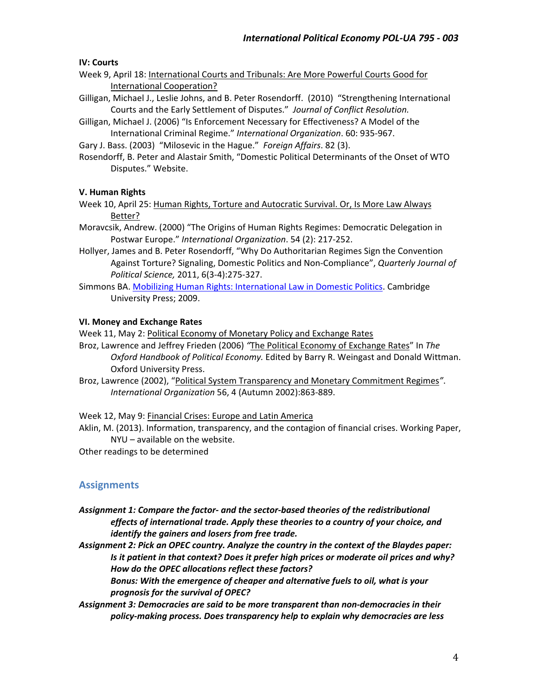## **IV: Courts**

- Week 9, April 18: International Courts and Tribunals: Are More Powerful Courts Good for **International Cooperation?**
- Gilligan, Michael J., Leslie Johns, and B. Peter Rosendorff. (2010) "Strengthening International Courts and the Early Settlement of Disputes." Journal of Conflict Resolution.
- Gilligan, Michael J. (2006) "Is Enforcement Necessary for Effectiveness? A Model of the International Criminal Regime." *International Organization*. 60: 935-967.

Gary J. Bass. (2003) "Milosevic in the Hague." Foreign Affairs. 82 (3).

Rosendorff, B. Peter and Alastair Smith, "Domestic Political Determinants of the Onset of WTO Disputes." Website.

#### **V. Human Rights**

Week 10, April 25: Human Rights, Torture and Autocratic Survival. Or, Is More Law Always Better?

Moravcsik, Andrew. (2000) "The Origins of Human Rights Regimes: Democratic Delegation in Postwar Europe." International Organization. 54 (2): 217-252.

- Hollyer, James and B. Peter Rosendorff, "Why Do Authoritarian Regimes Sign the Convention Against Torture? Signaling, Domestic Politics and Non-Compliance", *Quarterly Journal of Political Science,* 2011, 6(3-4):275-327.
- Simmons BA. Mobilizing Human Rights: International Law in Domestic Politics. Cambridge University Press; 2009.

### **VI. Money and Exchange Rates**

Week 11, May 2: Political Economy of Monetary Policy and Exchange Rates

- Broz, Lawrence and Jeffrey Frieden (2006) "The Political Economy of Exchange Rates" In The Oxford Handbook of Political Economy. Edited by Barry R. Weingast and Donald Wittman. Oxford University Press.
- Broz, Lawrence (2002), "Political System Transparency and Monetary Commitment Regimes". *International Organization* 56, 4 (Autumn 2002):863-889.

Week 12, May 9: Financial Crises: Europe and Latin America

Aklin, M. (2013). Information, transparency, and the contagion of financial crises. Working Paper,  $NYU - available on the website.$ 

Other readings to be determined

## **Assignments**

Assignment 1: Compare the factor- and the sector-based theories of the redistributional effects of international trade. Apply these theories to a country of your choice, and *identify* the gainers and losers from free trade.

Assignment 2: Pick an OPEC country. Analyze the country in the context of the Blaydes paper: *Is* it patient in that context? Does it prefer high prices or moderate oil prices and why? How do the OPEC allocations reflect these factors?

Bonus: With the emergence of cheaper and alternative fuels to oil, what is your prognosis for the survival of OPEC?

Assignment 3: Democracies are said to be more transparent than non-democracies in their policy-making process. Does transparency help to explain why democracies are less